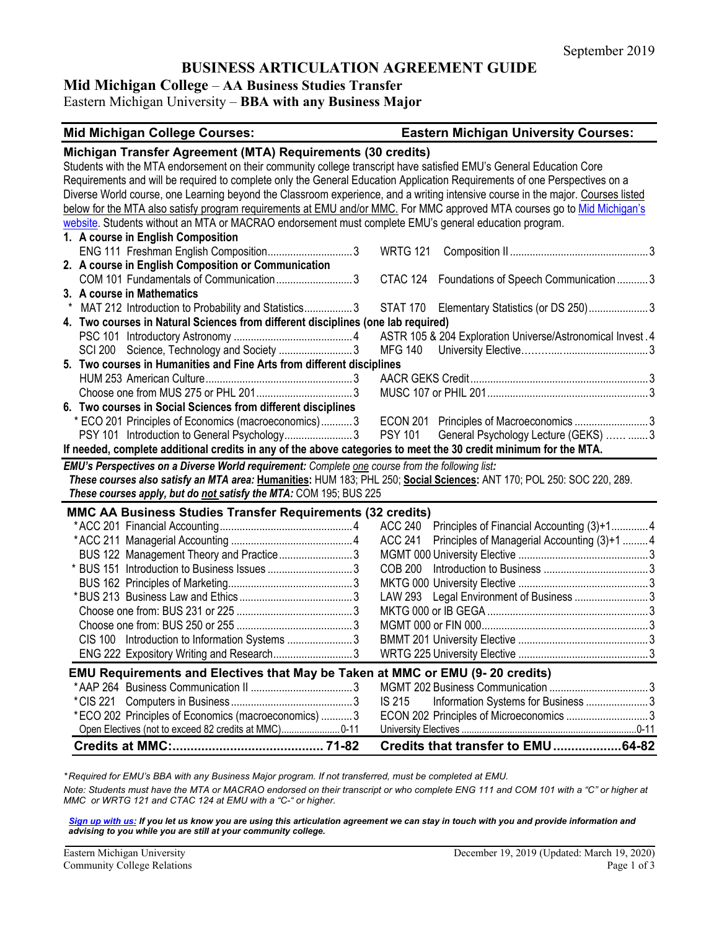# **BUSINESS ARTICULATION AGREEMENT GUIDE**

# **Mid Michigan College** – **AA Business Studies Transfer**

Eastern Michigan University – **BBA with any Business Major**

| <b>Mid Michigan College Courses:</b>                                                                                                                                                                                                                                                                                                                                                                                                                                                                                                                                                                                                                                                                                           | <b>Eastern Michigan University Courses:</b>                |
|--------------------------------------------------------------------------------------------------------------------------------------------------------------------------------------------------------------------------------------------------------------------------------------------------------------------------------------------------------------------------------------------------------------------------------------------------------------------------------------------------------------------------------------------------------------------------------------------------------------------------------------------------------------------------------------------------------------------------------|------------------------------------------------------------|
| Michigan Transfer Agreement (MTA) Requirements (30 credits)<br>Students with the MTA endorsement on their community college transcript have satisfied EMU's General Education Core<br>Requirements and will be required to complete only the General Education Application Requirements of one Perspectives on a<br>Diverse World course, one Learning beyond the Classroom experience, and a writing intensive course in the major. Courses listed<br>below for the MTA also satisfy program requirements at EMU and/or MMC. For MMC approved MTA courses go to Mid Michigan's<br>website. Students without an MTA or MACRAO endorsement must complete EMU's general education program.<br>1. A course in English Composition |                                                            |
| ENG 111 Freshman English Composition3                                                                                                                                                                                                                                                                                                                                                                                                                                                                                                                                                                                                                                                                                          | <b>WRTG 121</b>                                            |
| 2. A course in English Composition or Communication                                                                                                                                                                                                                                                                                                                                                                                                                                                                                                                                                                                                                                                                            |                                                            |
| COM 101 Fundamentals of Communication3                                                                                                                                                                                                                                                                                                                                                                                                                                                                                                                                                                                                                                                                                         | CTAC 124 Foundations of Speech Communication  3            |
| 3. A course in Mathematics                                                                                                                                                                                                                                                                                                                                                                                                                                                                                                                                                                                                                                                                                                     |                                                            |
| MAT 212 Introduction to Probability and Statistics3                                                                                                                                                                                                                                                                                                                                                                                                                                                                                                                                                                                                                                                                            | STAT 170 Elementary Statistics (or DS 250)3                |
| 4. Two courses in Natural Sciences from different disciplines (one lab required)                                                                                                                                                                                                                                                                                                                                                                                                                                                                                                                                                                                                                                               |                                                            |
|                                                                                                                                                                                                                                                                                                                                                                                                                                                                                                                                                                                                                                                                                                                                | ASTR 105 & 204 Exploration Universe/Astronomical Invest. 4 |
| SCI 200 Science, Technology and Society 3                                                                                                                                                                                                                                                                                                                                                                                                                                                                                                                                                                                                                                                                                      | <b>MFG 140</b>                                             |
| 5. Two courses in Humanities and Fine Arts from different disciplines                                                                                                                                                                                                                                                                                                                                                                                                                                                                                                                                                                                                                                                          |                                                            |
|                                                                                                                                                                                                                                                                                                                                                                                                                                                                                                                                                                                                                                                                                                                                |                                                            |
|                                                                                                                                                                                                                                                                                                                                                                                                                                                                                                                                                                                                                                                                                                                                |                                                            |
| 6. Two courses in Social Sciences from different disciplines                                                                                                                                                                                                                                                                                                                                                                                                                                                                                                                                                                                                                                                                   |                                                            |
| * ECO 201 Principles of Economics (macroeconomics)3<br>PSY 101 Introduction to General Psychology3                                                                                                                                                                                                                                                                                                                                                                                                                                                                                                                                                                                                                             | <b>PSY 101</b>                                             |
| If needed, complete additional credits in any of the above categories to meet the 30 credit minimum for the MTA.                                                                                                                                                                                                                                                                                                                                                                                                                                                                                                                                                                                                               | General Psychology Lecture (GEKS)  3                       |
|                                                                                                                                                                                                                                                                                                                                                                                                                                                                                                                                                                                                                                                                                                                                |                                                            |
| EMU's Perspectives on a Diverse World requirement: Complete one course from the following list:<br>These courses also satisfy an MTA area: Humanities: HUM 183; PHL 250; Social Sciences: ANT 170; POL 250: SOC 220, 289.                                                                                                                                                                                                                                                                                                                                                                                                                                                                                                      |                                                            |
| These courses apply, but do not satisfy the MTA: COM 195; BUS 225                                                                                                                                                                                                                                                                                                                                                                                                                                                                                                                                                                                                                                                              |                                                            |
| <b>MMC AA Business Studies Transfer Requirements (32 credits)</b>                                                                                                                                                                                                                                                                                                                                                                                                                                                                                                                                                                                                                                                              |                                                            |
|                                                                                                                                                                                                                                                                                                                                                                                                                                                                                                                                                                                                                                                                                                                                | ACC 240 Principles of Financial Accounting (3)+14          |
|                                                                                                                                                                                                                                                                                                                                                                                                                                                                                                                                                                                                                                                                                                                                | ACC 241 Principles of Managerial Accounting (3)+1  4       |
| BUS 122 Management Theory and Practice3                                                                                                                                                                                                                                                                                                                                                                                                                                                                                                                                                                                                                                                                                        |                                                            |
|                                                                                                                                                                                                                                                                                                                                                                                                                                                                                                                                                                                                                                                                                                                                |                                                            |
|                                                                                                                                                                                                                                                                                                                                                                                                                                                                                                                                                                                                                                                                                                                                |                                                            |
|                                                                                                                                                                                                                                                                                                                                                                                                                                                                                                                                                                                                                                                                                                                                | LAW 293 Legal Environment of Business 3                    |
|                                                                                                                                                                                                                                                                                                                                                                                                                                                                                                                                                                                                                                                                                                                                |                                                            |
|                                                                                                                                                                                                                                                                                                                                                                                                                                                                                                                                                                                                                                                                                                                                |                                                            |
| CIS 100 Introduction to Information Systems 3                                                                                                                                                                                                                                                                                                                                                                                                                                                                                                                                                                                                                                                                                  |                                                            |
| ENG 222 Expository Writing and Research3                                                                                                                                                                                                                                                                                                                                                                                                                                                                                                                                                                                                                                                                                       |                                                            |
|                                                                                                                                                                                                                                                                                                                                                                                                                                                                                                                                                                                                                                                                                                                                |                                                            |
| EMU Requirements and Electives that May be Taken at MMC or EMU (9-20 credits)                                                                                                                                                                                                                                                                                                                                                                                                                                                                                                                                                                                                                                                  |                                                            |
|                                                                                                                                                                                                                                                                                                                                                                                                                                                                                                                                                                                                                                                                                                                                |                                                            |
|                                                                                                                                                                                                                                                                                                                                                                                                                                                                                                                                                                                                                                                                                                                                | Information Systems for Business 3<br><b>IS 215</b>        |
| *ECO 202 Principles of Economics (macroeconomics)  3                                                                                                                                                                                                                                                                                                                                                                                                                                                                                                                                                                                                                                                                           | ECON 202 Principles of Microeconomics 3                    |
| Open Electives (not to exceed 82 credits at MMC) 0-11                                                                                                                                                                                                                                                                                                                                                                                                                                                                                                                                                                                                                                                                          |                                                            |
|                                                                                                                                                                                                                                                                                                                                                                                                                                                                                                                                                                                                                                                                                                                                | Credits that transfer to EMU64-82                          |

*\* Required for EMU's BBA with any Business Major program. If not transferred, must be completed at EMU. Note: Students must have the MTA or MACRAO endorsed on their transcript or who complete ENG 111 and COM 101 with a "C" or higher at MMC or WRTG 121 and CTAC 124 at EMU with a "C-" or higher.*

*[Sign up with us:](https://www.emich.edu/ccr/articulation-agreements/signup.php) If you let us know you are using this articulation agreement we can stay in touch with you and provide information and advising to you while you are still at your community college.*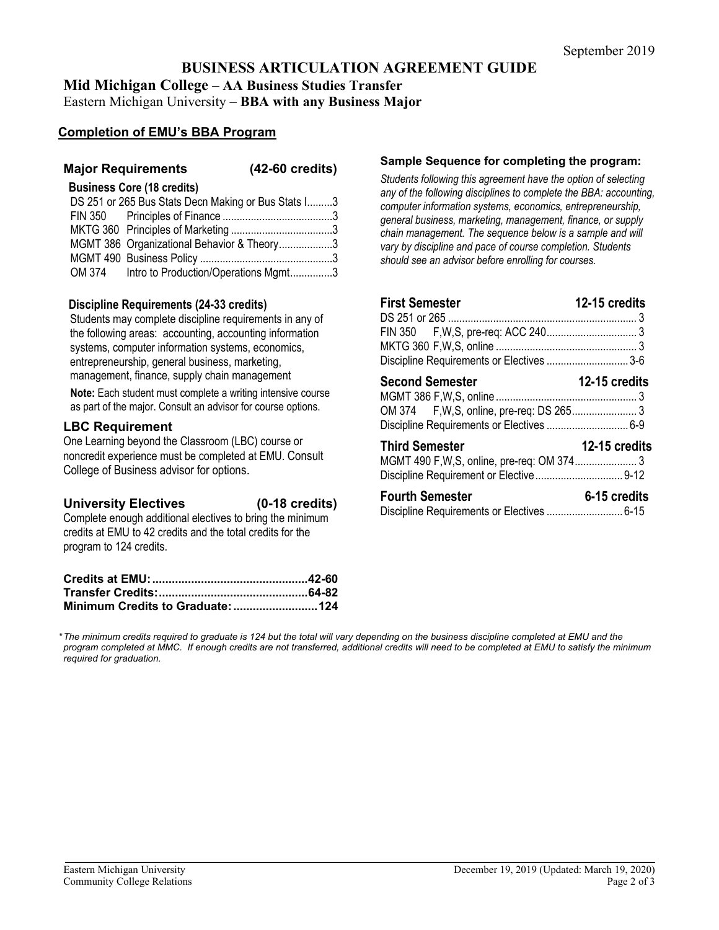# **BUSINESS ARTICULATION AGREEMENT GUIDE**

**Mid Michigan College** – **AA Business Studies Transfer**

Eastern Michigan University – **BBA with any Business Major**

## **Completion of EMU's BBA Program**

### **Major Requirements (42-60 credits)**

#### **Business Core (18 credits)**

| DS 251 or 265 Bus Stats Decn Making or Bus Stats I3 |  |
|-----------------------------------------------------|--|
|                                                     |  |
|                                                     |  |
| MGMT 386 Organizational Behavior & Theory3          |  |
|                                                     |  |
| OM 374 Intro to Production/Operations Mgmt3         |  |

#### **Discipline Requirements (24-33 credits)**

Students may complete discipline requirements in any of the following areas: accounting, accounting information systems, computer information systems, economics, entrepreneurship, general business, marketing, management, finance, supply chain management

**Note:** Each student must complete a writing intensive course as part of the major. Consult an advisor for course options.

#### **LBC Requirement**

One Learning beyond the Classroom (LBC) course or noncredit experience must be completed at EMU. Consult College of Business advisor for options.

#### **University Electives (0-18 credits)**

Complete enough additional electives to bring the minimum credits at EMU to 42 credits and the total credits for the program to 124 credits.

#### **Sample Sequence for completing the program:**

*Students following this agreement have the option of selecting any of the following disciplines to complete the BBA: accounting, computer information systems, economics, entrepreneurship, general business, marketing, management, finance, or supply chain management. The sequence below is a sample and will vary by discipline and pace of course completion. Students should see an advisor before enrolling for courses.* 

| <b>First Semester</b>                     | 12-15 credits |
|-------------------------------------------|---------------|
|                                           |               |
|                                           |               |
|                                           |               |
| Discipline Requirements or Electives  3-6 |               |
| <b>Second Semester</b>                    | 12-15 credits |
|                                           |               |
|                                           |               |
| Discipline Requirements or Electives  6-9 |               |
| <b>Third Semester</b>                     | 12-15 credits |
|                                           |               |
| <b>Fourth Semester</b>                    | 6-15 credits  |

| ו טעונוו טפוווסטנפו                        | u- IV UIGUILJ |
|--------------------------------------------|---------------|
| Discipline Requirements or Electives  6-15 |               |

*\*The minimum credits required to graduate is 124 but the total will vary depending on the business discipline completed at EMU and the program completed at MMC. If enough credits are not transferred, additional credits will need to be completed at EMU to satisfy the minimum required for graduation.*